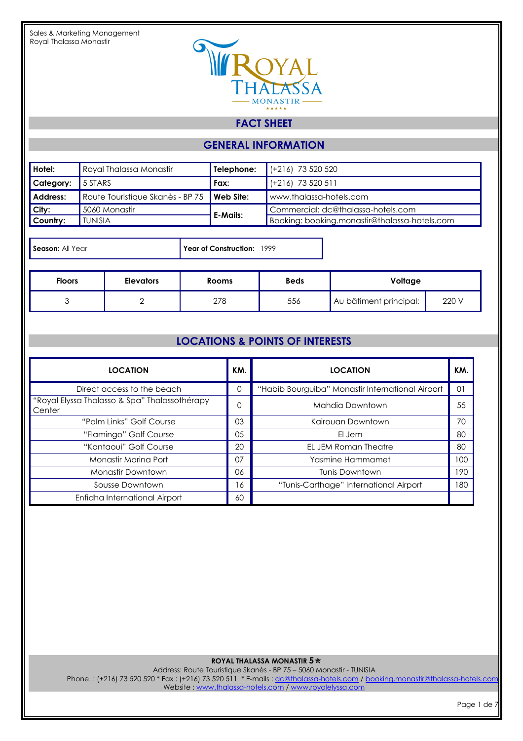

### **FACT SHEET**

# **GENERAL INFORMATION**

| Hotel:    | Royal Thalassa Monastir          | Telephone:      | $( +216)$ 73 520 520                          |
|-----------|----------------------------------|-----------------|-----------------------------------------------|
| Category: | 5 STARS                          | Fax:            | $(+216)$ 73 520 511                           |
| Address:  | Route Touristique Skanès - BP 75 | Web Site:       | www.thalassa-hotels.com                       |
| City:     | 5060 Monastir                    | <b>E-Mails:</b> | Commercial: dc@thalassa-hotels.com            |
| Country:  | ' TUNISIA                        |                 | Booking: booking.monastir@thalassa-hotels.com |

| <b>Season:</b> All Year |                  | Year of Construction: 1999 |             |                        |       |
|-------------------------|------------------|----------------------------|-------------|------------------------|-------|
| <b>Floors</b>           | <b>Elevators</b> | <b>Rooms</b>               | <b>Beds</b> | Voltage                |       |
|                         |                  | 278                        | 556         | Au bâtiment principal: | 220 V |

## **LOCATIONS & POINTS OF INTERESTS**

| <b>LOCATION</b>                                         | KM. | <b>LOCATION</b>                                  | KM.      |
|---------------------------------------------------------|-----|--------------------------------------------------|----------|
| Direct access to the beach                              |     | "Habib Bourguiba" Monastir International Airport | $\Omega$ |
| "Royal Elyssa Thalasso & Spa" Thalassothérapy<br>Center |     | Mahdia Downtown                                  | 55       |
| "Palm Links" Golf Course                                |     | Kairouan Downtown                                | 70       |
| "Flamingo" Golf Course                                  |     | El Jem                                           | 80       |
| "Kantaoui" Golf Course                                  |     | EL JEM Roman Theatre                             | 80       |
| Monastir Marina Port                                    | 07  | Yasmine Hammamet                                 | 100      |
| <b>Monastir Downtown</b>                                | 06  | Tunis Downtown                                   | 190      |
| Sousse Downtown                                         | 16  | "Tunis-Carthage" International Airport           | 180      |
| Enfidha International Airport                           | 60  |                                                  |          |

#### **ROYAL THALASSA MONASTIR 5**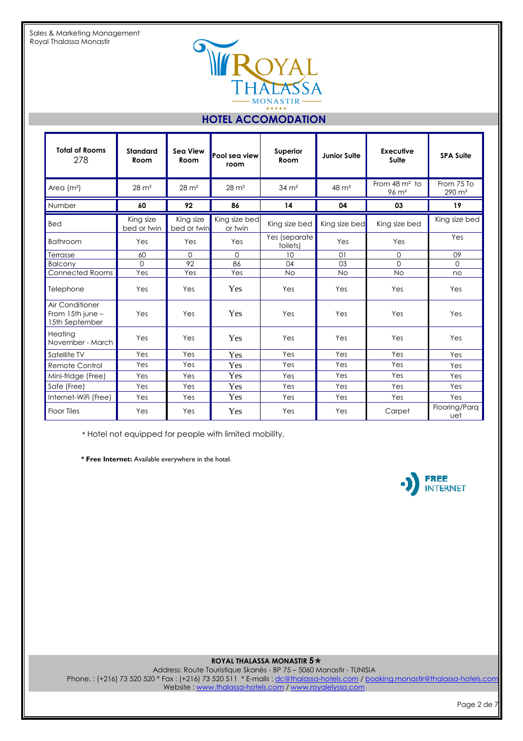I



### **HOTEL ACCOMODATION**

| <b>Total of Rooms</b><br>278                          | <b>Standard</b><br>Room  | Sea View<br><b>Room</b>  | Pool sea view<br>room    | <b>Superior</b><br>Room   | <b>Junior Suite</b> | <b>Executive</b><br>Suite                    | <b>SPA Suile</b>                  |
|-------------------------------------------------------|--------------------------|--------------------------|--------------------------|---------------------------|---------------------|----------------------------------------------|-----------------------------------|
| Area $(m2)$                                           | $28 \text{ m}^2$         | $28 \text{ m}^2$         | $28 \text{ m}^2$         | $34 \text{ m}^2$          | $48 \text{ m}^2$    | From $48 \text{ m}^2$ to<br>$96 \text{ m}^2$ | From 75 To<br>$290 \; \text{m}^2$ |
| Number                                                | 60                       | 92                       | 86                       | 14                        | 04                  | 03                                           | 19                                |
| <b>Bed</b>                                            | King size<br>bed or twin | King size<br>bed or twin | King size bed<br>or twin | King size bed             | King size bed       | King size bed                                | King size bed                     |
| <b>Bathroom</b>                                       | Yes                      | Yes                      | Yes                      | Yes (separate<br>toilets) | Yes                 | Yes                                          | Yes                               |
| Terrasse                                              | 60                       | $\Omega$                 | $\Omega$                 | 10                        | 01                  | $\Omega$                                     | 09                                |
| <b>Balcony</b>                                        | $\Omega$                 | 92                       | 86                       | 04                        | 03                  | $\Omega$                                     | $\Omega$                          |
| <b>Connected Rooms</b>                                | Yes                      | Yes                      | Yes                      | <b>No</b>                 | <b>No</b>           | <b>No</b>                                    | no                                |
| Telephone                                             | Yes                      | Yes                      | Yes                      | Yes                       | Yes                 | Yes                                          | Yes                               |
| Air Conditioner<br>From 15th june -<br>15th September | Yes                      | Yes                      | Yes                      | Yes                       | Yes                 | Yes                                          | Yes                               |
| Heating<br>November - March                           | Yes                      | Yes                      | Yes                      | Yes                       | Yes                 | Yes                                          | Yes                               |
| Satellite TV                                          | Yes                      | Yes                      | Yes                      | Yes                       | Yes                 | Yes                                          | Yes                               |
| Remote Control                                        | Yes                      | Yes                      | Yes                      | Yes                       | Yes                 | Yes                                          | Yes                               |
| Mini-fridge (Free)                                    | Yes                      | Yes                      | Yes                      | Yes                       | Yes                 | Yes                                          | Yes                               |
| Safe (Free)                                           | Yes                      | Yes                      | Yes                      | Yes                       | Yes                 | Yes                                          | Yes                               |
| Internet-WiFi (Free)                                  | Yes                      | Yes                      | Yes                      | Yes                       | Yes                 | Yes                                          | Yes                               |
| <b>Floor Tiles</b>                                    | Yes                      | Yes                      | Yes                      | Yes                       | Yes                 | Carpet                                       | Flooring/Para<br>uet              |

\* Hotel not equipped for people with limited mobility.

 **\* Free Internet:** Available everywhere in the hotel hotel.



### **ROYAL THALASSA MONASTIR 5**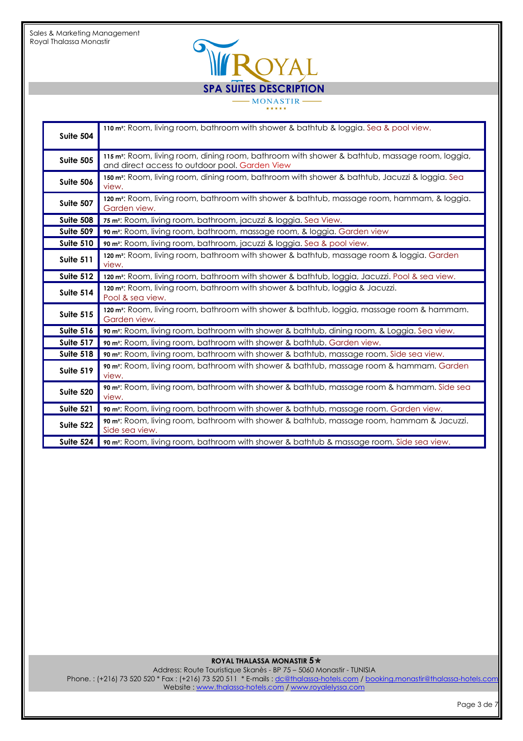L

I

| <b>SPA SUITES DESCRIPTION</b> |
|-------------------------------|
| <b>MONASTIR</b><br>*****      |

| Suite 504        | 110 m <sup>2</sup> : Room, living room, bathroom with shower & bathtub & loggia. Sea & pool view.                                                            |
|------------------|--------------------------------------------------------------------------------------------------------------------------------------------------------------|
| <b>Suite 505</b> | 115 m <sup>2</sup> : Room, living room, dining room, bathroom with shower & bathtub, massage room, loggia,<br>and direct access to outdoor pool. Garden View |
| Suite 506        | 150 m <sup>2</sup> : Room, living room, dining room, bathroom with shower & bathtub, Jacuzzi & loggia. Sea<br>view.                                          |
| Suite 507        | 120 m <sup>2</sup> : Room, living room, bathroom with shower & bathtub, massage room, hammam, & loggia.<br>Garden view.                                      |
| Suite 508        | 75 m <sup>2</sup> : Room, living room, bathroom, jacuzzi & loggia. Sea View.                                                                                 |
| Suite 509        | 90 m <sup>2</sup> : Room, living room, bathroom, massage room, & loggia. Garden view                                                                         |
| Suite 510        | 90 m <sup>2</sup> : Room, living room, bathroom, jacuzzi & loggia. Sea & pool view.                                                                          |
| Suite 511        | 120 m <sup>2</sup> : Room, living room, bathroom with shower & bathtub, massage room & loggia. Garden<br>view.                                               |
| Suite 512        | 120 m <sup>2</sup> : Room, living room, bathroom with shower & bathtub, loggia, Jacuzzi. Pool & sea view.                                                    |
| Suite 514        | 120 m <sup>2</sup> : Room, living room, bathroom with shower & bathtub, loggia & Jacuzzi.<br>Pool & sea view.                                                |
| Suite 515        | 120 m <sup>2</sup> : Room, living room, bathroom with shower & bathtub, loggia, massage room & hammam.<br>Garden view.                                       |
| Suite 516        | 90 m <sup>2</sup> : Room, living room, bathroom with shower & bathtub, dining room, & Loggia. Sea view.                                                      |
|                  |                                                                                                                                                              |
| Suite 517        | 90 m <sup>2</sup> : Room, living room, bathroom with shower & bathtub. Garden view.                                                                          |
| Suite 518        | 90 m <sup>2</sup> : Room, living room, bathroom with shower & bathtub, massage room. Side sea view.                                                          |
| Suite 519        | 90 m <sup>2</sup> : Room, living room, bathroom with shower & bathtub, massage room & hammam. Garden<br>view.                                                |
| Suite 520        | 90 m <sup>2</sup> : Room, living room, bathroom with shower & bathtub, massage room & hammam. Side sea<br>view.                                              |
| Suite 521        | 90 m <sup>2</sup> : Room, living room, bathroom with shower & bathtub, massage room. Garden view.                                                            |
| Suite 522        | 90 m <sup>2</sup> : Room, living room, bathroom with shower & bathtub, massage room, hammam & Jacuzzi.<br>Side sea view.                                     |

### **ROYAL THALASSA MONASTIR 5**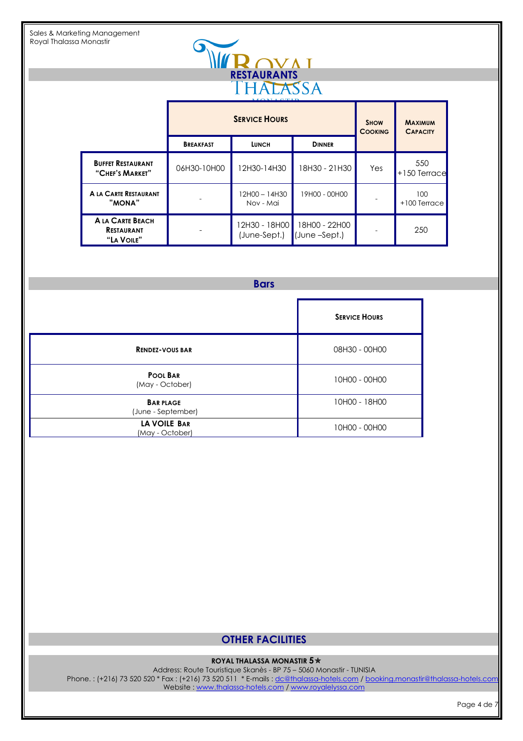I



|                                                           |                  | <b>SHOW</b><br><b>COOKING</b> | <b>MAXIMUM</b><br><b>CAPACITY</b> |     |                       |
|-----------------------------------------------------------|------------------|-------------------------------|-----------------------------------|-----|-----------------------|
|                                                           | <b>BREAKFAST</b> | <b>LUNCH</b>                  | <b>DINNER</b>                     |     |                       |
| <b>BUFFET RESTAURANT</b><br>"CHEF'S MARKET"               | 06H30-10H00      | 12H30-14H30                   | 18H30 - 21H30                     | Yes | 550<br>+150 Terrace   |
| A LA CARTE RESTAURANT<br>"MONA"                           |                  | 12H00 - 14H30<br>Nov - Mai    | 19H00 - 00H00                     |     | 100<br>$+100$ Terrace |
| <b>ALA CARTE BEACH</b><br><b>RESTAURANT</b><br>"LA VOILE" |                  | 12H30 - 18H00<br>(June-Sept.) | 18H00 - 22H00<br>(June –Sept.)    |     | 250                   |

### **Bars**

|                                        | <b>SERVICE HOURS</b> |
|----------------------------------------|----------------------|
| <b>RENDEZ-VOUS BAR</b>                 | 08H30 - 00H00        |
| POOL BAR<br>(May - October)            | 10H00 - 00H00        |
| <b>BAR PLAGE</b><br>(June - September) | 10H00 - 18H00        |
| LA VOILE BAR<br>(May - October)        | 10H00 - 00H00        |

# **OTHER FACILITIES**

### **ROYAL THALASSA MONASTIR 5**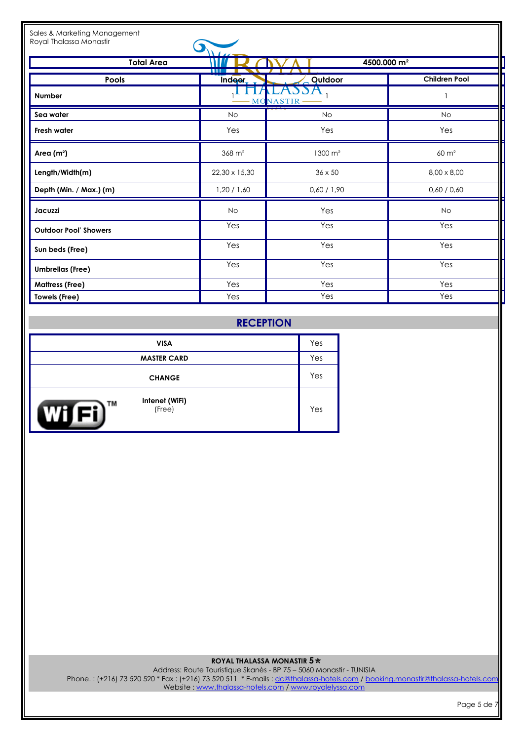| Sales & Marketing Management<br>Royal Thalassa Monastir |                     |                         |                      |
|---------------------------------------------------------|---------------------|-------------------------|----------------------|
| <b>Total Area</b>                                       |                     | 4500.000 m <sup>2</sup> |                      |
| Pools                                                   | Indoor              | Qutdoor                 | <b>Children Pool</b> |
| <b>Number</b>                                           |                     | <b>MONASTIR</b>         |                      |
| Sea water                                               | <b>No</b>           | <b>No</b>               | <b>No</b>            |
| <b>Fresh water</b>                                      | Yes                 | Yes                     | Yes                  |
| Area (m <sup>2</sup> )                                  | $368 \; \text{m}^2$ | $1300 \; \text{m}^2$    | $60 \text{ m}^2$     |
| Length/Width(m)                                         | 22,30 x 15,30       | $36 \times 50$          | $8,00 \times 8,00$   |
| Depth (Min. / Max.) (m)                                 | 1,20/1,60           | 0,60 / 1,90             | 0,60 / 0,60          |
| Jacuzzi                                                 | <b>No</b>           | Yes                     | <b>No</b>            |
| <b>Outdoor Pool' Showers</b>                            | Yes                 | Yes                     | Yes                  |
| Sun beds (Free)                                         | Yes                 | Yes                     | Yes                  |
| <b>Umbrellas (Free)</b>                                 | Yes                 | Yes                     | Yes                  |
| <b>Mattress (Free)</b>                                  | Yes                 | Yes                     | Yes                  |
| Towels (Free)                                           | Yes                 | Yes                     | Yes                  |

## **RECEPTION**

| <b>VISA</b>                    | Yes |
|--------------------------------|-----|
| <b>MASTER CARD</b>             | Yes |
| <b>CHANGE</b>                  | Yes |
| Intenet (WiFi)<br>ΤМ<br>(Free) | Yes |

### **ROYAL THALASSA MONASTIR 5**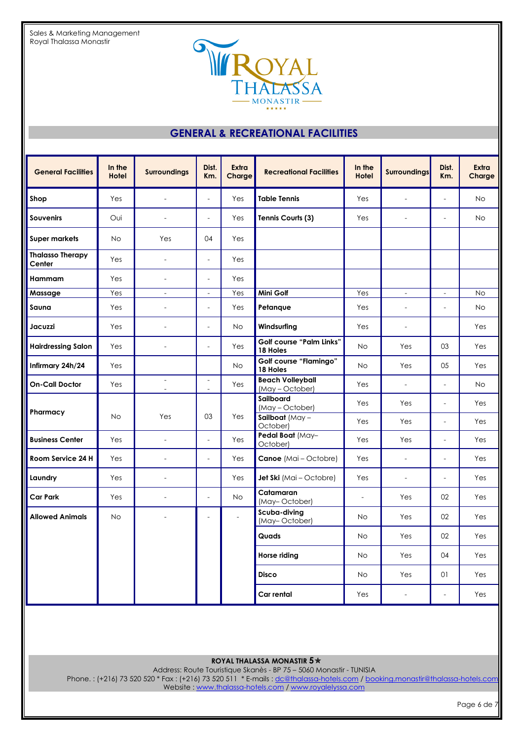

# **GENERAL & RECREATIONAL FACILITIES**

| <b>General Facilities</b>         | In the<br>Hotel | <b>Surroundings</b>                | Dist.<br>Km.                                         | <b>Extra</b><br>Charge | <b>Recreational Facilities</b>              | In the<br><b>Hotel</b> | <b>Surroundings</b>      | Dist.<br>Km.             | Extra<br>Charge |
|-----------------------------------|-----------------|------------------------------------|------------------------------------------------------|------------------------|---------------------------------------------|------------------------|--------------------------|--------------------------|-----------------|
| Shop                              | Yes             | $\overline{a}$                     | $\overline{a}$                                       | Yes                    | <b>Table Tennis</b>                         | Yes                    | $\overline{a}$           | $\overline{a}$           | No.             |
| <b>Souvenirs</b>                  | Oui             |                                    | $\overline{a}$                                       | Yes                    | Tennis Courts (3)                           | Yes                    | $\overline{a}$           | $\overline{a}$           | No.             |
| <b>Super markets</b>              | No.             | Yes                                | 04                                                   | Yes                    |                                             |                        |                          |                          |                 |
| <b>Thalasso Therapy</b><br>Center | Yes             | $\overline{a}$                     | $\overline{\phantom{a}}$                             | Yes                    |                                             |                        |                          |                          |                 |
| Hammam                            | Yes             | $\overline{a}$                     | $\overline{a}$                                       | Yes                    |                                             |                        |                          |                          |                 |
| Massage                           | Yes             | $\overline{\phantom{a}}$           | $\overline{\phantom{a}}$                             | Yes                    | Mini Golf                                   | Yes                    | $\overline{\phantom{a}}$ | $\overline{\phantom{a}}$ | <b>No</b>       |
| Sauna                             | Yes             | $\overline{a}$                     | $\overline{a}$                                       | Yes                    | Petanque                                    | Yes                    | $\overline{a}$           | $\overline{a}$           | No.             |
| Jacuzzi                           | Yes             | $\overline{a}$                     | $\overline{a}$                                       | No.                    | Windsurfing                                 | Yes                    | $\overline{a}$           |                          | Yes             |
| <b>Hairdressing Salon</b>         | Yes             | $\overline{a}$                     | $\overline{a}$                                       | Yes                    | <b>Golf course "Palm Links"</b><br>18 Holes | <b>No</b>              | Yes                      | 03                       | Yes             |
| Infirmary 24h/24                  | Yes             |                                    |                                                      | <b>No</b>              | <b>Golf course "Flamingo"</b><br>18 Holes   | <b>No</b>              | Yes                      | 05                       | Yes             |
| <b>On-Call Doctor</b>             | Yes             | $\sim$<br>$\overline{\phantom{a}}$ | $\overline{\phantom{a}}$<br>$\overline{\phantom{a}}$ | Yes                    | <b>Beach Volleyball</b><br>(May - October)  | Yes                    | $\overline{a}$           | $\overline{a}$           | <b>No</b>       |
| Pharmacy                          |                 |                                    |                                                      |                        | Sailboard<br>(May - October)                | Yes                    | Yes                      | $\overline{a}$           | Yes             |
|                                   | <b>No</b>       | Yes                                | 03                                                   | Yes                    | Sailboat $(May -$<br>October)               | Yes                    | Yes                      | $\overline{a}$           | Yes             |
| <b>Business Center</b>            | Yes             | $\overline{a}$                     | $\overline{\phantom{a}}$                             | Yes                    | Pedal Boat (May-<br>October)                | Yes                    | Yes                      | $\overline{a}$           | Yes             |
| Room Service 24 H                 | Yes             | ÷,                                 | $\overline{\phantom{a}}$                             | Yes                    | Canoe (Mai - Octobre)                       | Yes                    | $\overline{a}$           | $\overline{a}$           | Yes             |
| Laundry                           | Yes             |                                    |                                                      | Yes                    | Jet Ski (Mai - Octobre)                     | Yes                    | $\overline{\phantom{a}}$ | $\overline{a}$           | Yes             |
| Car Park                          | Yes             |                                    | $\overline{a}$                                       | No                     | Catamaran<br>(May-October)                  | $\overline{a}$         | Yes                      | 02                       | Yes             |
| <b>Allowed Animals</b>            | <b>No</b>       |                                    | $\overline{a}$                                       | $\overline{a}$         | Scuba-diving<br>(May-October)               | <b>No</b>              | Yes                      | 02                       | Yes             |
|                                   |                 |                                    |                                                      |                        | Quads                                       | <b>No</b>              | Yes                      | 02                       | Yes             |
|                                   |                 |                                    |                                                      |                        | Horse riding                                | No                     | Yes                      | 04                       | Yes             |
|                                   |                 |                                    |                                                      |                        | <b>Disco</b>                                | <b>No</b>              | Yes                      | 01                       | Yes             |
|                                   |                 |                                    |                                                      |                        | Car rental                                  | Yes                    | $\overline{a}$           | $\overline{a}$           | Yes             |

### **ROYAL THALASSA MONASTIR 5**